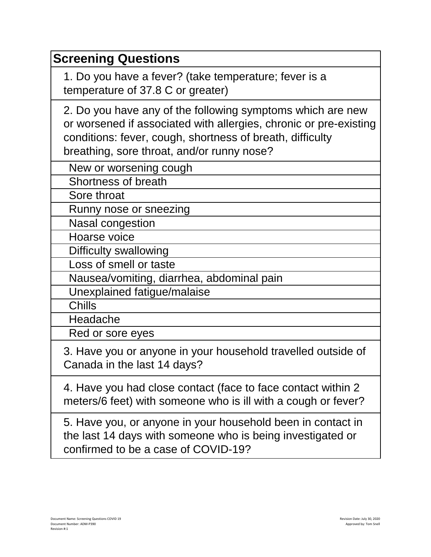| <b>Screening Questions</b>                                                                                                                                                                                                                 |
|--------------------------------------------------------------------------------------------------------------------------------------------------------------------------------------------------------------------------------------------|
| 1. Do you have a fever? (take temperature; fever is a<br>temperature of 37.8 C or greater)                                                                                                                                                 |
| 2. Do you have any of the following symptoms which are new<br>or worsened if associated with allergies, chronic or pre-existing<br>conditions: fever, cough, shortness of breath, difficulty<br>breathing, sore throat, and/or runny nose? |
| New or worsening cough                                                                                                                                                                                                                     |
| Shortness of breath                                                                                                                                                                                                                        |
| Sore throat                                                                                                                                                                                                                                |
| Runny nose or sneezing                                                                                                                                                                                                                     |
| <b>Nasal congestion</b>                                                                                                                                                                                                                    |
| Hoarse voice                                                                                                                                                                                                                               |
| Difficulty swallowing                                                                                                                                                                                                                      |
| Loss of smell or taste                                                                                                                                                                                                                     |
| Nausea/vomiting, diarrhea, abdominal pain                                                                                                                                                                                                  |
| Unexplained fatigue/malaise                                                                                                                                                                                                                |
| <b>Chills</b>                                                                                                                                                                                                                              |
| Headache                                                                                                                                                                                                                                   |
| Red or sore eyes                                                                                                                                                                                                                           |
| 3. Have you or anyone in your household travelled outside of<br>Canada in the last 14 days?                                                                                                                                                |
| 4. Have you had close contact (face to face contact within 2)<br>meters/6 feet) with someone who is ill with a cough or fever?                                                                                                             |
| 5. Have you, or anyone in your household been in contact in<br>the last 14 days with someone who is being investigated or                                                                                                                  |

confirmed to be a case of COVID-19?